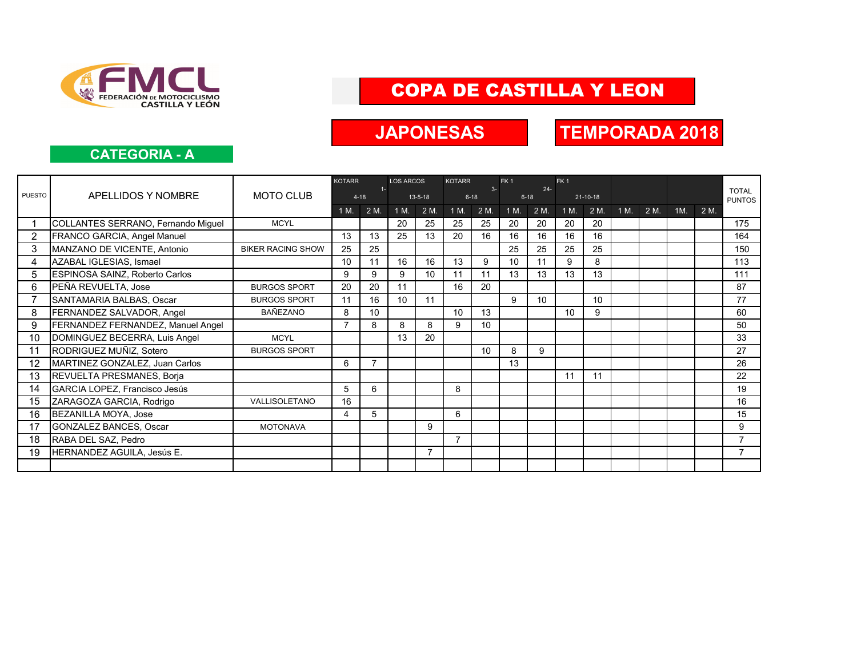

# COPA DE CASTILLA Y LEON

## **JAPONESAS**

# **TEMPORADA 2018**

#### **CATEGORIA - A**

|                |                                    |                          | <b>KOTARR</b>   |       | <b>LOS ARCOS</b> |                 | <b>KOTARR</b>    |                 | FK <sub>1</sub><br>FK <sub>1</sub> |      |                |      |      |      |                 |      |                               |
|----------------|------------------------------------|--------------------------|-----------------|-------|------------------|-----------------|------------------|-----------------|------------------------------------|------|----------------|------|------|------|-----------------|------|-------------------------------|
| <b>PUESTO</b>  | APELLIDOS Y NOMBRE                 | <b>MOTO CLUB</b>         | $4 - 18$        | $1 -$ |                  | $13 - 5 - 18$   | $3-$<br>$6 - 18$ |                 | $24 -$<br>$6 - 18$                 |      | $21 - 10 - 18$ |      |      |      |                 |      | <b>TOTAL</b><br><b>PUNTOS</b> |
|                |                                    |                          | 1 M.            | 2 M.  | 1 M.             | 2 M.            | 1 M.             | 2 M.            | 1 M.                               | 2 M. | 1 M.           | 2 M. | 1 M. | 2 M. | 1M <sub>1</sub> | 2 M. |                               |
|                | COLLANTES SERRANO, Fernando Miguel | <b>MCYL</b>              |                 |       | 20               | 25              | 25               | 25              | 20                                 | 20   | 20             | 20   |      |      |                 |      | 175                           |
| $\overline{2}$ | FRANCO GARCIA, Angel Manuel        |                          | 13              | 13    | 25               | 13              | 20               | 16              | 16                                 | 16   | 16             | 16   |      |      |                 |      | 164                           |
| 3              | MANZANO DE VICENTE, Antonio        | <b>BIKER RACING SHOW</b> | 25              | 25    |                  |                 |                  |                 | 25                                 | 25   | 25             | 25   |      |      |                 |      | 150                           |
| 4              | AZABAL IGLESIAS, Ismael            |                          | 10 <sup>°</sup> | 11    | 16               | 16              | 13               | 9               | 10                                 | 11   | 9              | 8    |      |      |                 |      | 113                           |
| 5              | ESPINOSA SAINZ, Roberto Carlos     |                          | 9               | 9     | 9                | 10 <sup>1</sup> | 11               | 11              | 13                                 | 13   | 13             | 13   |      |      |                 |      | 111                           |
| 6              | PEÑA REVUELTA, Jose                | <b>BURGOS SPORT</b>      | 20              | 20    | 11               |                 | 16               | 20              |                                    |      |                |      |      |      |                 |      | 87                            |
| $\overline{7}$ | SANTAMARIA BALBAS, Oscar           | <b>BURGOS SPORT</b>      | 11              | 16    | 10               | 11              |                  |                 | 9                                  | 10   |                | 10   |      |      |                 |      | 77                            |
| 8              | FERNANDEZ SALVADOR, Angel          | <b>BAÑEZANO</b>          | 8               | 10    |                  |                 | 10 <sup>1</sup>  | 13              |                                    |      | 10             | 9    |      |      |                 |      | 60                            |
| 9              | FERNANDEZ FERNANDEZ, Manuel Angel  |                          | $\overline{7}$  | 8     | 8                | 8               | 9                | 10 <sup>°</sup> |                                    |      |                |      |      |      |                 |      | 50                            |
| 10             | DOMINGUEZ BECERRA, Luis Angel      | <b>MCYL</b>              |                 |       | 13               | 20              |                  |                 |                                    |      |                |      |      |      |                 |      | 33                            |
| 11             | RODRIGUEZ MUÑIZ, Sotero            | <b>BURGOS SPORT</b>      |                 |       |                  |                 |                  | 10              | 8                                  | 9    |                |      |      |      |                 |      | 27                            |
| 12             | MARTINEZ GONZALEZ, Juan Carlos     |                          | 6               |       |                  |                 |                  |                 | 13                                 |      |                |      |      |      |                 |      | 26                            |
| 13             | REVUELTA PRESMANES, Borja          |                          |                 |       |                  |                 |                  |                 |                                    |      | 11             | 11   |      |      |                 |      | 22                            |
| 14             | GARCIA LOPEZ, Francisco Jesús      |                          | 5               | 6     |                  |                 | 8                |                 |                                    |      |                |      |      |      |                 |      | 19                            |
| 15             | ZARAGOZA GARCIA, Rodrigo           | VALLISOLETANO            | 16              |       |                  |                 |                  |                 |                                    |      |                |      |      |      |                 |      | 16                            |
| 16             | BEZANILLA MOYA, Jose               |                          | 4               | 5     |                  |                 | 6                |                 |                                    |      |                |      |      |      |                 |      | 15                            |
| 17             | <b>GONZALEZ BANCES, Oscar</b>      | <b>MOTONAVA</b>          |                 |       |                  | 9               |                  |                 |                                    |      |                |      |      |      |                 |      | 9                             |
| 18             | RABA DEL SAZ, Pedro                |                          |                 |       |                  |                 | $\overline{7}$   |                 |                                    |      |                |      |      |      |                 |      | $\overline{7}$                |
| 19             | HERNANDEZ AGUILA, Jesús E.         |                          |                 |       |                  | $\overline{7}$  |                  |                 |                                    |      |                |      |      |      |                 |      | $\overline{7}$                |
|                |                                    |                          |                 |       |                  |                 |                  |                 |                                    |      |                |      |      |      |                 |      |                               |